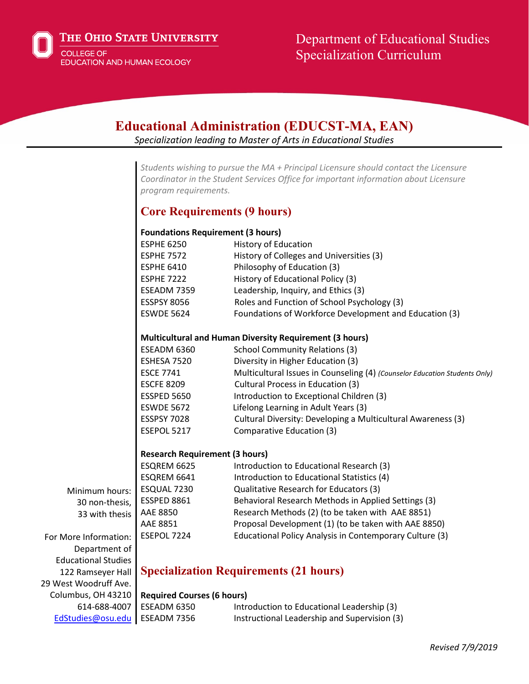

# Department of Educational Studies Specialization Curriculum

| <b>Educational Administration (EDUCST-MA, EAN)</b><br>Specialization leading to Master of Arts in Educational Studies |                                                         |                                                                                                                                                                              |
|-----------------------------------------------------------------------------------------------------------------------|---------------------------------------------------------|------------------------------------------------------------------------------------------------------------------------------------------------------------------------------|
|                                                                                                                       |                                                         |                                                                                                                                                                              |
|                                                                                                                       | program requirements.                                   | Students wishing to pursue the MA + Principal Licensure should contact the Licensure<br>Coordinator in the Student Services Office for important information about Licensure |
|                                                                                                                       | <b>Core Requirements (9 hours)</b>                      |                                                                                                                                                                              |
|                                                                                                                       | <b>Foundations Requirement (3 hours)</b>                |                                                                                                                                                                              |
|                                                                                                                       | <b>ESPHE 6250</b>                                       | History of Education                                                                                                                                                         |
|                                                                                                                       | <b>ESPHE 7572</b>                                       | History of Colleges and Universities (3)                                                                                                                                     |
|                                                                                                                       | <b>ESPHE 6410</b>                                       | Philosophy of Education (3)                                                                                                                                                  |
|                                                                                                                       | <b>ESPHE 7222</b>                                       | History of Educational Policy (3)                                                                                                                                            |
|                                                                                                                       | ESEADM 7359                                             | Leadership, Inquiry, and Ethics (3)                                                                                                                                          |
|                                                                                                                       | <b>ESSPSY 8056</b>                                      | Roles and Function of School Psychology (3)                                                                                                                                  |
|                                                                                                                       | <b>ESWDE 5624</b>                                       | Foundations of Workforce Development and Education (3)                                                                                                                       |
|                                                                                                                       | Multicultural and Human Diversity Requirement (3 hours) |                                                                                                                                                                              |
|                                                                                                                       | ESEADM 6360                                             | <b>School Community Relations (3)</b>                                                                                                                                        |
|                                                                                                                       | ESHESA 7520                                             | Diversity in Higher Education (3)                                                                                                                                            |
|                                                                                                                       | <b>ESCE 7741</b>                                        | Multicultural Issues in Counseling (4) (Counselor Education Students Only)                                                                                                   |
|                                                                                                                       | <b>ESCFE 8209</b>                                       | Cultural Process in Education (3)                                                                                                                                            |
|                                                                                                                       | ESSPED 5650                                             | Introduction to Exceptional Children (3)                                                                                                                                     |
|                                                                                                                       | <b>ESWDE 5672</b>                                       | Lifelong Learning in Adult Years (3)                                                                                                                                         |
|                                                                                                                       | <b>ESSPSY 7028</b>                                      | Cultural Diversity: Developing a Multicultural Awareness (3)                                                                                                                 |
|                                                                                                                       | ESEPOL 5217                                             | Comparative Education (3)                                                                                                                                                    |
|                                                                                                                       | <b>Research Requirement (3 hours)</b>                   |                                                                                                                                                                              |
|                                                                                                                       | ESQREM 6625                                             | Introduction to Educational Research (3)                                                                                                                                     |
|                                                                                                                       | ESQREM 6641                                             | Introduction to Educational Statistics (4)                                                                                                                                   |
| Minimum hours:                                                                                                        | ESQUAL 7230                                             | Qualitative Research for Educators (3)                                                                                                                                       |
| 30 non-thesis,                                                                                                        | ESSPED 8861                                             | Behavioral Research Methods in Applied Settings (3)                                                                                                                          |
| 33 with thesis                                                                                                        | AAE 8850                                                | Research Methods (2) (to be taken with AAE 8851)                                                                                                                             |
|                                                                                                                       | AAE 8851                                                | Proposal Development (1) (to be taken with AAE 8850)                                                                                                                         |
| For More Information:                                                                                                 | ESEPOL 7224                                             | Educational Policy Analysis in Contemporary Culture (3)                                                                                                                      |
| Department of                                                                                                         |                                                         |                                                                                                                                                                              |
| <b>Educational Studies</b>                                                                                            |                                                         |                                                                                                                                                                              |
| 122 Ramseyer Hall                                                                                                     | <b>Specialization Requirements (21 hours)</b>           |                                                                                                                                                                              |
| 29 West Woodruff Ave.                                                                                                 |                                                         |                                                                                                                                                                              |
| Columbus, OH 43210                                                                                                    | <b>Required Courses (6 hours)</b>                       |                                                                                                                                                                              |
| 614-688-4007                                                                                                          | ESEADM 6350                                             | Introduction to Educational Leadership (3)                                                                                                                                   |
| EdStudies@osu.edu                                                                                                     | ESEADM 7356                                             | Instructional Leadership and Supervision (3)                                                                                                                                 |